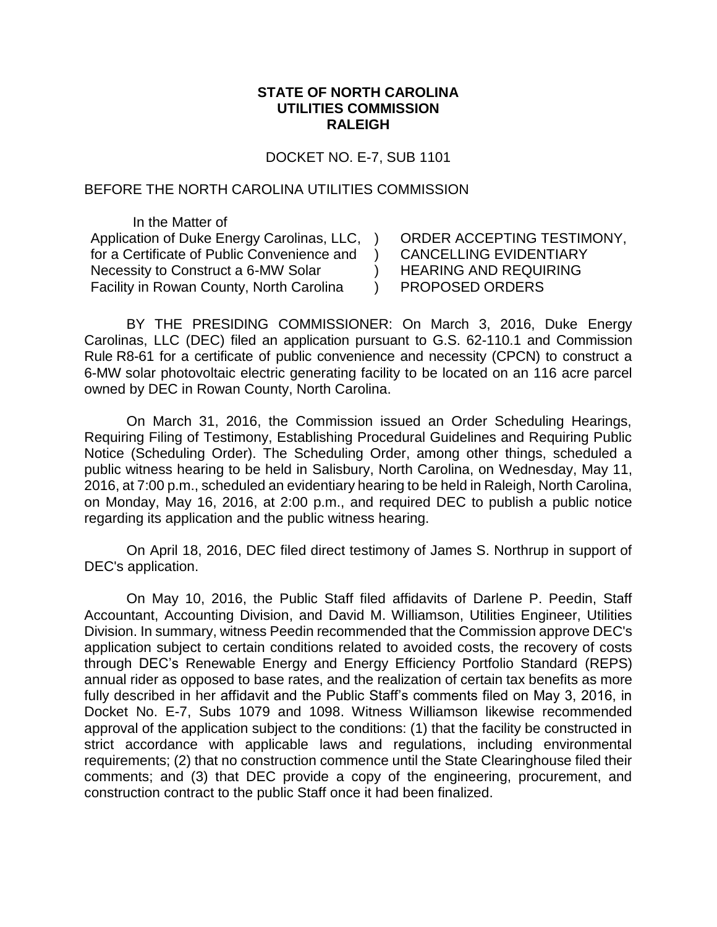## **STATE OF NORTH CAROLINA UTILITIES COMMISSION RALEIGH**

DOCKET NO. E-7, SUB 1101

## BEFORE THE NORTH CAROLINA UTILITIES COMMISSION

In the Matter of Application of Duke Energy Carolinas, LLC, ) for a Certificate of Public Convenience and Necessity to Construct a 6-MW Solar Facility in Rowan County, North Carolina

ORDER ACCEPTING TESTIMONY, CANCELLING EVIDENTIARY HEARING AND REQUIRING PROPOSED ORDERS

BY THE PRESIDING COMMISSIONER: On March 3, 2016, Duke Energy Carolinas, LLC (DEC) filed an application pursuant to G.S. 62-110.1 and Commission Rule R8-61 for a certificate of public convenience and necessity (CPCN) to construct a 6-MW solar photovoltaic electric generating facility to be located on an 116 acre parcel owned by DEC in Rowan County, North Carolina.

 $\rightarrow$  $\lambda$  $\left( \right)$ 

On March 31, 2016, the Commission issued an Order Scheduling Hearings, Requiring Filing of Testimony, Establishing Procedural Guidelines and Requiring Public Notice (Scheduling Order). The Scheduling Order, among other things, scheduled a public witness hearing to be held in Salisbury, North Carolina, on Wednesday, May 11, 2016, at 7:00 p.m., scheduled an evidentiary hearing to be held in Raleigh, North Carolina, on Monday, May 16, 2016, at 2:00 p.m., and required DEC to publish a public notice regarding its application and the public witness hearing.

On April 18, 2016, DEC filed direct testimony of James S. Northrup in support of DEC's application.

On May 10, 2016, the Public Staff filed affidavits of Darlene P. Peedin, Staff Accountant, Accounting Division, and David M. Williamson, Utilities Engineer, Utilities Division. In summary, witness Peedin recommended that the Commission approve DEC's application subject to certain conditions related to avoided costs, the recovery of costs through DEC's Renewable Energy and Energy Efficiency Portfolio Standard (REPS) annual rider as opposed to base rates, and the realization of certain tax benefits as more fully described in her affidavit and the Public Staff's comments filed on May 3, 2016, in Docket No. E-7, Subs 1079 and 1098. Witness Williamson likewise recommended approval of the application subject to the conditions: (1) that the facility be constructed in strict accordance with applicable laws and regulations, including environmental requirements; (2) that no construction commence until the State Clearinghouse filed their comments; and (3) that DEC provide a copy of the engineering, procurement, and construction contract to the public Staff once it had been finalized.